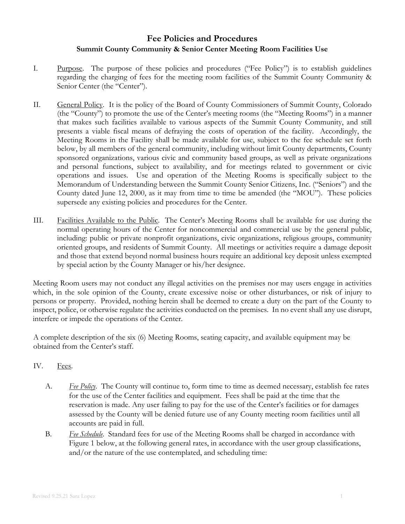## **Fee Policies and Procedures Summit County Community & Senior Center Meeting Room Facilities Use**

- I. Purpose. The purpose of these policies and procedures ("Fee Policy") is to establish guidelines regarding the charging of fees for the meeting room facilities of the Summit County Community & Senior Center (the "Center").
- II. General Policy. It is the policy of the Board of County Commissioners of Summit County, Colorado (the "County") to promote the use of the Center's meeting rooms (the "Meeting Rooms") in a manner that makes such facilities available to various aspects of the Summit County Community, and still presents a viable fiscal means of defraying the costs of operation of the facility. Accordingly, the Meeting Rooms in the Facility shall be made available for use, subject to the fee schedule set forth below, by all members of the general community, including without limit County departments, County sponsored organizations, various civic and community based groups, as well as private organizations and personal functions, subject to availability, and for meetings related to government or civic operations and issues. Use and operation of the Meeting Rooms is specifically subject to the Memorandum of Understanding between the Summit County Senior Citizens, Inc. ("Seniors") and the County dated June 12, 2000, as it may from time to time be amended (the "MOU"). These policies supersede any existing policies and procedures for the Center.
- III. Facilities Available to the Public. The Center's Meeting Rooms shall be available for use during the normal operating hours of the Center for noncommercial and commercial use by the general public, including: public or private nonprofit organizations, civic organizations, religious groups, community oriented groups, and residents of Summit County. All meetings or activities require a damage deposit and those that extend beyond normal business hours require an additional key deposit unless exempted by special action by the County Manager or his/her designee.

Meeting Room users may not conduct any illegal activities on the premises nor may users engage in activities which, in the sole opinion of the County, create excessive noise or other disturbances, or risk of injury to persons or property. Provided, nothing herein shall be deemed to create a duty on the part of the County to inspect, police, or otherwise regulate the activities conducted on the premises. In no event shall any use disrupt, interfere or impede the operations of the Center.

A complete description of the six (6) Meeting Rooms, seating capacity, and available equipment may be obtained from the Center's staff.

- IV. Fees.
	- A. *Fee Policy*. The County will continue to, form time to time as deemed necessary, establish fee rates for the use of the Center facilities and equipment. Fees shall be paid at the time that the reservation is made. Any user failing to pay for the use of the Center's facilities or for damages assessed by the County will be denied future use of any County meeting room facilities until all accounts are paid in full.
	- B. *Fee Schedule*. Standard fees for use of the Meeting Rooms shall be charged in accordance with Figure 1 below, at the following general rates, in accordance with the user group classifications, and/or the nature of the use contemplated, and scheduling time: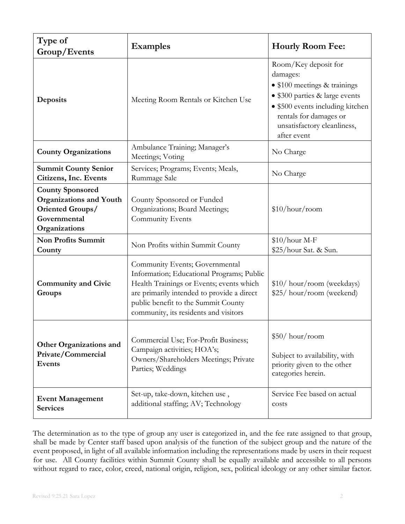| Type of<br>Group/Events                                                                                        | <b>Examples</b>                                                                                                                                                                                                                                       | <b>Hourly Room Fee:</b>                                                                                                                                                                                        |
|----------------------------------------------------------------------------------------------------------------|-------------------------------------------------------------------------------------------------------------------------------------------------------------------------------------------------------------------------------------------------------|----------------------------------------------------------------------------------------------------------------------------------------------------------------------------------------------------------------|
| Deposits                                                                                                       | Meeting Room Rentals or Kitchen Use                                                                                                                                                                                                                   | Room/Key deposit for<br>damages:<br>• \$100 meetings & trainings<br>• \$300 parties & large events<br>• \$500 events including kitchen<br>rentals for damages or<br>unsatisfactory cleanliness,<br>after event |
| <b>County Organizations</b>                                                                                    | Ambulance Training; Manager's<br>Meetings; Voting                                                                                                                                                                                                     | No Charge                                                                                                                                                                                                      |
| <b>Summit County Senior</b><br>Citizens, Inc. Events                                                           | Services; Programs; Events; Meals,<br>Rummage Sale                                                                                                                                                                                                    | No Charge                                                                                                                                                                                                      |
| <b>County Sponsored</b><br><b>Organizations and Youth</b><br>Oriented Groups/<br>Governmental<br>Organizations | County Sponsored or Funded<br>Organizations; Board Meetings;<br>Community Events                                                                                                                                                                      | \$10/hour/room                                                                                                                                                                                                 |
| <b>Non Profits Summit</b><br>County                                                                            | Non Profits within Summit County                                                                                                                                                                                                                      | $$10/hour M-F$<br>\$25/hour Sat. & Sun.                                                                                                                                                                        |
| <b>Community and Civic</b><br>Groups                                                                           | Community Events; Governmental<br>Information; Educational Programs; Public<br>Health Trainings or Events; events which<br>are primarily intended to provide a direct<br>public benefit to the Summit County<br>community, its residents and visitors | \$10/ hour/room (weekdays)<br>\$25/ hour/room (weekend)                                                                                                                                                        |
| <b>Other Organizations and</b><br>Private/Commercial<br>Events                                                 | Commercial Use; For-Profit Business;<br>Campaign activities; HOA's;<br>Owners/Shareholders Meetings; Private<br>Parties; Weddings                                                                                                                     | \$50/hour/room<br>Subject to availability, with<br>priority given to the other<br>categories herein.                                                                                                           |
| <b>Event Management</b><br><b>Services</b>                                                                     | Set-up, take-down, kitchen use,<br>additional staffing; AV; Technology                                                                                                                                                                                | Service Fee based on actual<br>costs                                                                                                                                                                           |

The determination as to the type of group any user is categorized in, and the fee rate assigned to that group, shall be made by Center staff based upon analysis of the function of the subject group and the nature of the event proposed, in light of all available information including the representations made by users in their request for use. All County facilities within Summit County shall be equally available and accessible to all persons without regard to race, color, creed, national origin, religion, sex, political ideology or any other similar factor.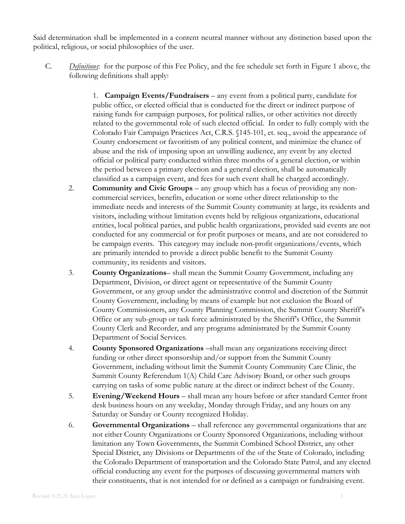Said determination shall be implemented in a content neutral manner without any distinction based upon the political, religious, or social philosophies of the user.

- C. *Definitions*: for the purpose of this Fee Policy, and the fee schedule set forth in Figure 1 above, the following definitions shall apply:
	- 1. **Campaign Events/Fundraisers** any event from a political party, candidate for public office, or elected official that is conducted for the direct or indirect purpose of raising funds for campaign purposes, for political rallies, or other activities not directly related to the governmental role of such elected official. In order to fully comply with the Colorado Fair Campaign Practices Act, C.R.S. §145-101, et. seq., avoid the appearance of County endorsement or favoritism of any political content, and minimize the chance of abuse and the risk of imposing upon an unwilling audience, any event by any elected official or political party conducted within three months of a general election, or within the period between a primary election and a general election, shall be automatically classified as a campaign event, and fees for such event shall be charged accordingly.
	- 2. **Community and Civic Groups** any group which has a focus of providing any noncommercial services, benefits, education or some other direct relationship to the immediate needs and interests of the Summit County community at large, its residents and visitors, including without limitation events held by religious organizations, educational entities, local political parties, and public health organizations, provided said events are not conducted for any commercial or for profit purposes or means, and are not considered to be campaign events. This category may include non-profit organizations/events, which are primarily intended to provide a direct public benefit to the Summit County community, its residents and visitors.
	- 3. **County Organizations** shall mean the Summit County Government, including any Department, Division, or direct agent or representative of the Summit County Government, or any group under the administrative control and discretion of the Summit County Government, including by means of example but not exclusion the Board of County Commissioners, any County Planning Commission, the Summit County Sheriff's Office or any sub-group or task force administrated by the Sheriff's Office, the Summit County Clerk and Recorder, and any programs administrated by the Summit County Department of Social Services.
	- 4. **County Sponsored Organizations** –shall mean any organizations receiving direct funding or other direct sponsorship and/or support from the Summit County Government, including without limit the Summit County Community Care Clinic, the Summit County Referendum 1(A) Child Care Advisory Board, or other such groups carrying on tasks of some public nature at the direct or indirect behest of the County.
	- 5. **Evening/Weekend Hours**  shall mean any hours before or after standard Center front desk business hours on any weekday, Monday through Friday, and any hours on any Saturday or Sunday or County recognized Holiday.
	- 6. **Governmental Organizations** shall reference any governmental organizations that are not either County Organizations or County Sponsored Organizations, including without limitation any Town Governments, the Summit Combined School District, any other Special District, any Divisions or Departments of the of the State of Colorado, including the Colorado Department of transportation and the Colorado State Patrol, and any elected official conducting any event for the purposes of discussing governmental matters with their constituents, that is not intended for or defined as a campaign or fundraising event.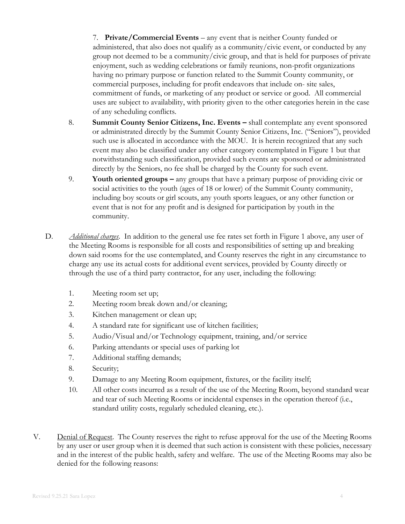7. **Private/Commercial Events** – any event that is neither County funded or administered, that also does not qualify as a community/civic event, or conducted by any group not deemed to be a community/civic group, and that is held for purposes of private enjoyment, such as wedding celebrations or family reunions, non-profit organizations having no primary purpose or function related to the Summit County community, or commercial purposes, including for profit endeavors that include on- site sales, commitment of funds, or marketing of any product or service or good. All commercial uses are subject to availability, with priority given to the other categories herein in the case of any scheduling conflicts.

- 8. **Summit County Senior Citizens, Inc. Events –** shall contemplate any event sponsored or administrated directly by the Summit County Senior Citizens, Inc. ("Seniors"), provided such use is allocated in accordance with the MOU. It is herein recognized that any such event may also be classified under any other category contemplated in Figure 1 but that notwithstanding such classification, provided such events are sponsored or administrated directly by the Seniors, no fee shall be charged by the County for such event.
- 9. **Youth oriented groups –** any groups that have a primary purpose of providing civic or social activities to the youth (ages of 18 or lower) of the Summit County community, including boy scouts or girl scouts, any youth sports leagues, or any other function or event that is not for any profit and is designed for participation by youth in the community.
- D. *Additional charges*. In addition to the general use fee rates set forth in Figure 1 above, any user of the Meeting Rooms is responsible for all costs and responsibilities of setting up and breaking down said rooms for the use contemplated, and County reserves the right in any circumstance to charge any use its actual costs for additional event services, provided by County directly or through the use of a third party contractor, for any user, including the following:
	- 1. Meeting room set up;
	- 2. Meeting room break down and/or cleaning;
	- 3. Kitchen management or clean up;
	- 4. A standard rate for significant use of kitchen facilities;
	- 5. Audio/Visual and/or Technology equipment, training, and/or service
	- 6. Parking attendants or special uses of parking lot
	- 7. Additional staffing demands;
	- 8. Security;
	- 9. Damage to any Meeting Room equipment, fixtures, or the facility itself;
	- 10. All other costs incurred as a result of the use of the Meeting Room, beyond standard wear and tear of such Meeting Rooms or incidental expenses in the operation thereof (i.e., standard utility costs, regularly scheduled cleaning, etc.).
- V. Denial of Request. The County reserves the right to refuse approval for the use of the Meeting Rooms by any user or user group when it is deemed that such action is consistent with these policies, necessary and in the interest of the public health, safety and welfare. The use of the Meeting Rooms may also be denied for the following reasons: